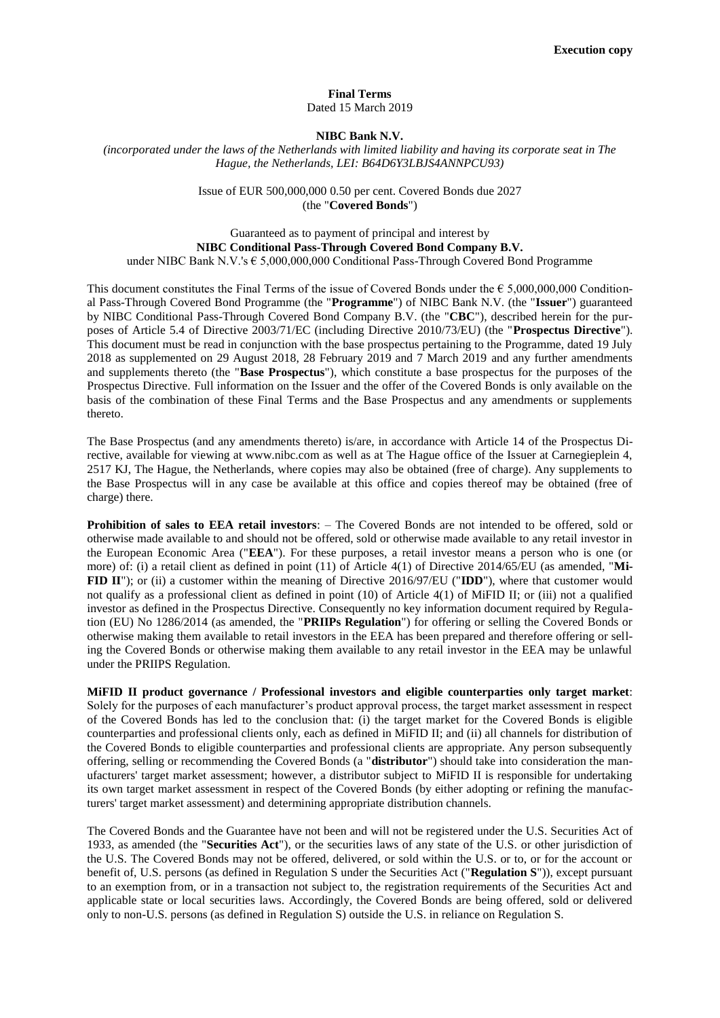#### **Final Terms**  Dated 15 March 2019

#### **NIBC Bank N.V.**

*(incorporated under the laws of the Netherlands with limited liability and having its corporate seat in The Hague, the Netherlands, LEI: B64D6Y3LBJS4ANNPCU93)* 

# Issue of EUR 500,000,000 0.50 per cent. Covered Bonds due 2027 (the "**Covered Bonds**")

# Guaranteed as to payment of principal and interest by **NIBC Conditional Pass-Through Covered Bond Company B.V.**  under NIBC Bank N.V.'s € 5,000,000,000 Conditional Pass-Through Covered Bond Programme

This document constitutes the Final Terms of the issue of Covered Bonds under the  $\epsilon$  5,000,000,000 Conditional Pass-Through Covered Bond Programme (the "**Programme**") of NIBC Bank N.V. (the "**Issuer**") guaranteed by NIBC Conditional Pass-Through Covered Bond Company B.V. (the "**CBC**"), described herein for the purposes of Article 5.4 of Directive 2003/71/EC (including Directive 2010/73/EU) (the "**Prospectus Directive**"). This document must be read in conjunction with the base prospectus pertaining to the Programme, dated 19 July 2018 as supplemented on 29 August 2018, 28 February 2019 and 7 March 2019 and any further amendments and supplements thereto (the "**Base Prospectus**"), which constitute a base prospectus for the purposes of the Prospectus Directive. Full information on the Issuer and the offer of the Covered Bonds is only available on the basis of the combination of these Final Terms and the Base Prospectus and any amendments or supplements thereto.

The Base Prospectus (and any amendments thereto) is/are, in accordance with Article 14 of the Prospectus Directive, available for viewing at www.nibc.com as well as at The Hague office of the Issuer at Carnegieplein 4, 2517 KJ, The Hague, the Netherlands, where copies may also be obtained (free of charge). Any supplements to the Base Prospectus will in any case be available at this office and copies thereof may be obtained (free of charge) there.

**Prohibition of sales to EEA retail investors**: – The Covered Bonds are not intended to be offered, sold or otherwise made available to and should not be offered, sold or otherwise made available to any retail investor in the European Economic Area ("**EEA**"). For these purposes, a retail investor means a person who is one (or more) of: (i) a retail client as defined in point (11) of Article 4(1) of Directive 2014/65/EU (as amended, "**Mi-FID II**"); or (ii) a customer within the meaning of Directive 2016/97/EU ("**IDD**"), where that customer would not qualify as a professional client as defined in point (10) of Article 4(1) of MiFID II; or (iii) not a qualified investor as defined in the Prospectus Directive. Consequently no key information document required by Regulation (EU) No 1286/2014 (as amended, the "**PRIIPs Regulation**") for offering or selling the Covered Bonds or otherwise making them available to retail investors in the EEA has been prepared and therefore offering or selling the Covered Bonds or otherwise making them available to any retail investor in the EEA may be unlawful under the PRIIPS Regulation.

**MiFID II product governance / Professional investors and eligible counterparties only target market**: Solely for the purposes of each manufacturer's product approval process, the target market assessment in respect of the Covered Bonds has led to the conclusion that: (i) the target market for the Covered Bonds is eligible counterparties and professional clients only, each as defined in MiFID II; and (ii) all channels for distribution of the Covered Bonds to eligible counterparties and professional clients are appropriate. Any person subsequently offering, selling or recommending the Covered Bonds (a "**distributor**") should take into consideration the manufacturers' target market assessment; however, a distributor subject to MiFID II is responsible for undertaking its own target market assessment in respect of the Covered Bonds (by either adopting or refining the manufacturers' target market assessment) and determining appropriate distribution channels.

The Covered Bonds and the Guarantee have not been and will not be registered under the U.S. Securities Act of 1933, as amended (the "**Securities Act**"), or the securities laws of any state of the U.S. or other jurisdiction of the U.S. The Covered Bonds may not be offered, delivered, or sold within the U.S. or to, or for the account or benefit of, U.S. persons (as defined in Regulation S under the Securities Act ("**Regulation S**")), except pursuant to an exemption from, or in a transaction not subject to, the registration requirements of the Securities Act and applicable state or local securities laws. Accordingly, the Covered Bonds are being offered, sold or delivered only to non-U.S. persons (as defined in Regulation S) outside the U.S. in reliance on Regulation S.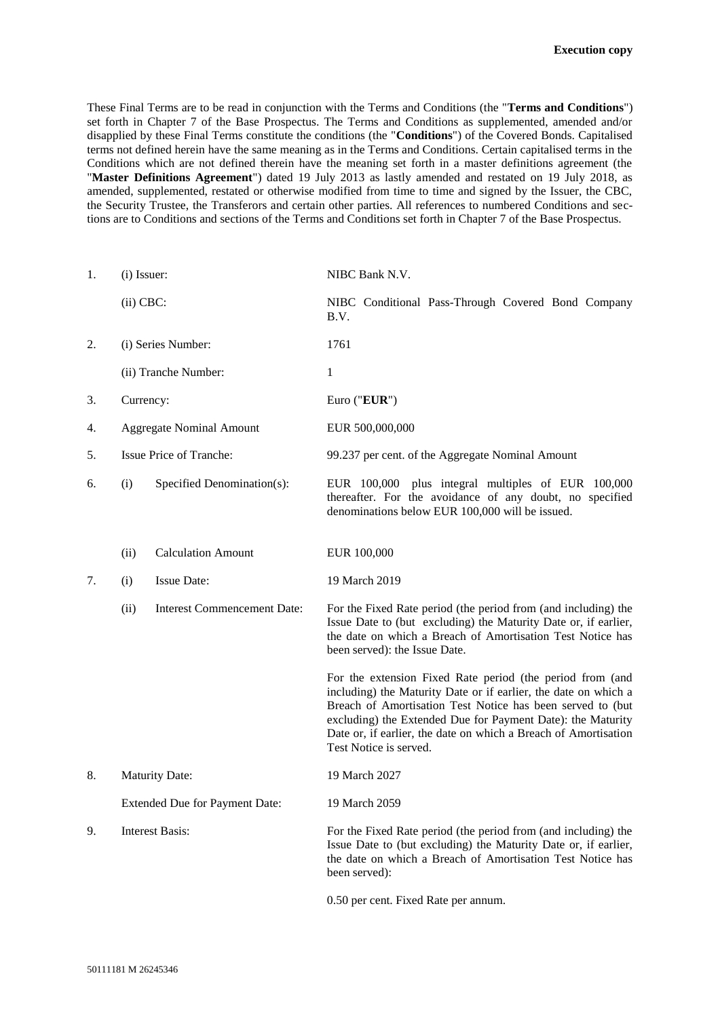These Final Terms are to be read in conjunction with the Terms and Conditions (the "**Terms and Conditions**") set forth in Chapter 7 of the Base Prospectus. The Terms and Conditions as supplemented, amended and/or disapplied by these Final Terms constitute the conditions (the "**Conditions**") of the Covered Bonds. Capitalised terms not defined herein have the same meaning as in the Terms and Conditions. Certain capitalised terms in the Conditions which are not defined therein have the meaning set forth in a master definitions agreement (the "**Master Definitions Agreement**") dated 19 July 2013 as lastly amended and restated on 19 July 2018, as amended, supplemented, restated or otherwise modified from time to time and signed by the Issuer, the CBC, the Security Trustee, the Transferors and certain other parties. All references to numbered Conditions and sections are to Conditions and sections of the Terms and Conditions set forth in Chapter 7 of the Base Prospectus.

| 1. | (i) Issuer:                           |                                    | NIBC Bank N.V.                                                                                                                                                                                                                                                                                                                                         |
|----|---------------------------------------|------------------------------------|--------------------------------------------------------------------------------------------------------------------------------------------------------------------------------------------------------------------------------------------------------------------------------------------------------------------------------------------------------|
|    | $(ii)$ CBC:                           |                                    | NIBC Conditional Pass-Through Covered Bond Company<br>B.V.                                                                                                                                                                                                                                                                                             |
| 2. | (i) Series Number:                    |                                    | 1761                                                                                                                                                                                                                                                                                                                                                   |
|    |                                       | (ii) Tranche Number:               | 1                                                                                                                                                                                                                                                                                                                                                      |
| 3. | Currency:                             |                                    | Euro ("EUR")                                                                                                                                                                                                                                                                                                                                           |
| 4. |                                       | <b>Aggregate Nominal Amount</b>    | EUR 500,000,000                                                                                                                                                                                                                                                                                                                                        |
| 5. |                                       | Issue Price of Tranche:            | 99.237 per cent. of the Aggregate Nominal Amount                                                                                                                                                                                                                                                                                                       |
| 6. | (i)                                   | Specified Denomination(s):         | EUR 100,000 plus integral multiples of EUR 100,000<br>thereafter. For the avoidance of any doubt, no specified<br>denominations below EUR 100,000 will be issued.                                                                                                                                                                                      |
|    | (ii)                                  | <b>Calculation Amount</b>          | EUR 100,000                                                                                                                                                                                                                                                                                                                                            |
| 7. | (i)                                   | <b>Issue Date:</b>                 | 19 March 2019                                                                                                                                                                                                                                                                                                                                          |
|    | (ii)                                  | <b>Interest Commencement Date:</b> | For the Fixed Rate period (the period from (and including) the<br>Issue Date to (but excluding) the Maturity Date or, if earlier,<br>the date on which a Breach of Amortisation Test Notice has<br>been served): the Issue Date.                                                                                                                       |
|    |                                       |                                    | For the extension Fixed Rate period (the period from (and<br>including) the Maturity Date or if earlier, the date on which a<br>Breach of Amortisation Test Notice has been served to (but<br>excluding) the Extended Due for Payment Date): the Maturity<br>Date or, if earlier, the date on which a Breach of Amortisation<br>Test Notice is served. |
| 8. | <b>Maturity Date:</b>                 |                                    | 19 March 2027                                                                                                                                                                                                                                                                                                                                          |
|    | <b>Extended Due for Payment Date:</b> |                                    | 19 March 2059                                                                                                                                                                                                                                                                                                                                          |
| 9. | <b>Interest Basis:</b>                |                                    | For the Fixed Rate period (the period from (and including) the<br>Issue Date to (but excluding) the Maturity Date or, if earlier,<br>the date on which a Breach of Amortisation Test Notice has<br>been served):                                                                                                                                       |
|    |                                       |                                    | 0.50 per cent. Fixed Rate per annum.                                                                                                                                                                                                                                                                                                                   |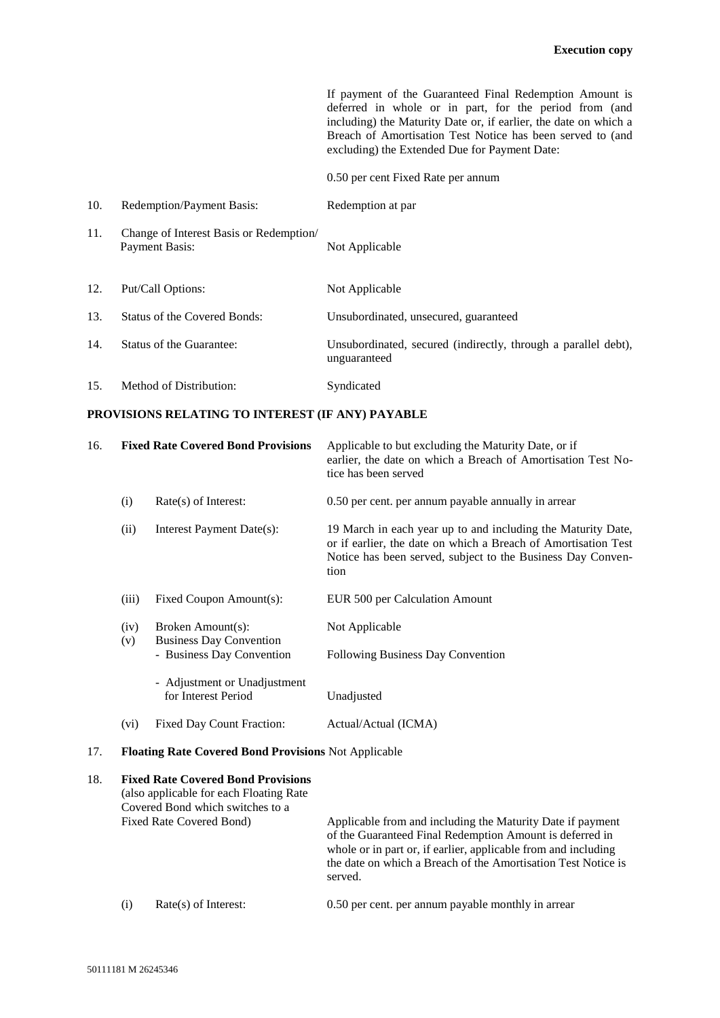If payment of the Guaranteed Final Redemption Amount is deferred in whole or in part, for the period from (and including) the Maturity Date or, if earlier, the date on which a Breach of Amortisation Test Notice has been served to (and excluding) the Extended Due for Payment Date:

0.50 per cent Fixed Rate per annum

| 10. | Redemption/Payment Basis:                                | Redemption at par                                                              |
|-----|----------------------------------------------------------|--------------------------------------------------------------------------------|
| 11. | Change of Interest Basis or Redemption<br>Payment Basis: | Not Applicable                                                                 |
| 12. | Put/Call Options:                                        | Not Applicable                                                                 |
| 13. | Status of the Covered Bonds:                             | Unsubordinated, unsecured, guaranteed                                          |
| 14. | Status of the Guarantee:                                 | Unsubordinated, secured (indirectly, through a parallel debt),<br>unguaranteed |
| 15. | Method of Distribution:                                  | Syndicated                                                                     |

## **PROVISIONS RELATING TO INTEREST (IF ANY) PAYABLE**

| 16. | <b>Fixed Rate Covered Bond Provisions</b>                   |                                                     | Applicable to but excluding the Maturity Date, or if<br>earlier, the date on which a Breach of Amortisation Test No-<br>tice has been served                                                          |
|-----|-------------------------------------------------------------|-----------------------------------------------------|-------------------------------------------------------------------------------------------------------------------------------------------------------------------------------------------------------|
|     | (i)                                                         | $Rate(s)$ of Interest:                              | 0.50 per cent. per annum payable annually in arrear                                                                                                                                                   |
|     | (ii)                                                        | Interest Payment Date(s):                           | 19 March in each year up to and including the Maturity Date,<br>or if earlier, the date on which a Breach of Amortisation Test<br>Notice has been served, subject to the Business Day Conven-<br>tion |
|     | (iii)                                                       | Fixed Coupon Amount(s):                             | EUR 500 per Calculation Amount                                                                                                                                                                        |
|     | (iv)<br>(v)                                                 | Broken Amount(s):<br><b>Business Day Convention</b> | Not Applicable                                                                                                                                                                                        |
|     |                                                             | - Business Day Convention                           | Following Business Day Convention                                                                                                                                                                     |
|     |                                                             | - Adjustment or Unadjustment<br>for Interest Period | Unadjusted                                                                                                                                                                                            |
|     | $(v_i)$                                                     | Fixed Day Count Fraction:                           | Actual/Actual (ICMA)                                                                                                                                                                                  |
| 17. | <b>Floating Rate Covered Bond Provisions Not Applicable</b> |                                                     |                                                                                                                                                                                                       |

# 18. **Fixed Rate Covered Bond Provisions**  (also applicable for each Floating Rate Covered Bond which switches to a Fixed Rate Covered Bond) Applicable from and including the Maturity Date if payment of the Guaranteed Final Redemption Amount is deferred in whole or in part or, if earlier, applicable from and including the date on which a Breach of the Amortisation Test Notice is served. (i) Rate(s) of Interest: 0.50 per cent. per annum payable monthly in arrear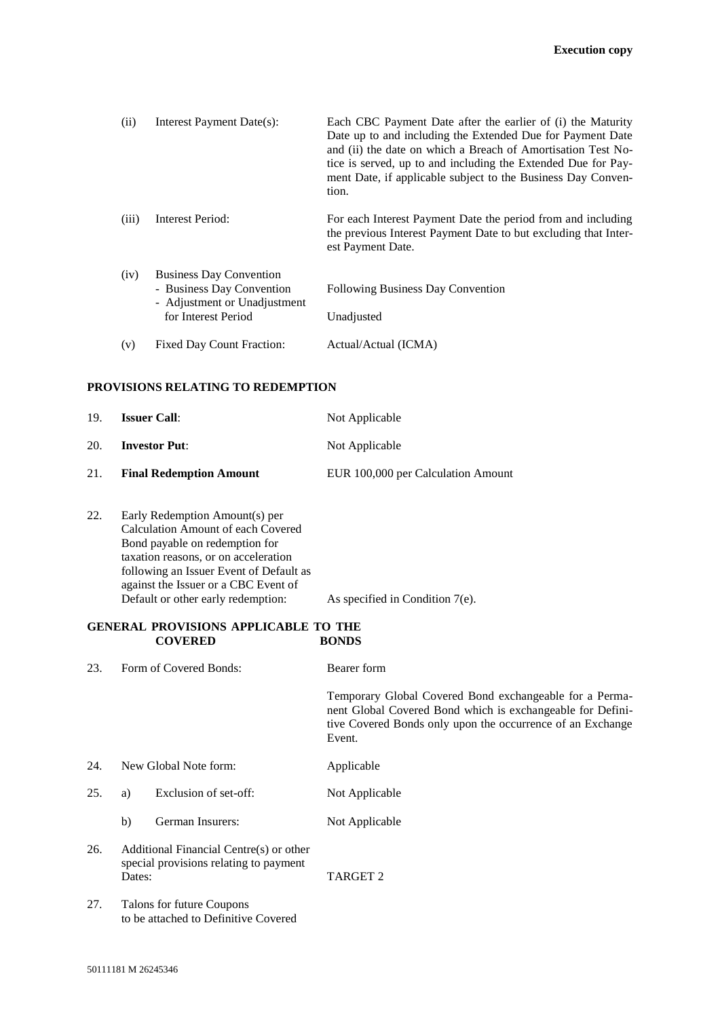| (ii)  | Interest Payment Date(s):                                                                                          | Each CBC Payment Date after the earlier of (i) the Maturity<br>Date up to and including the Extended Due for Payment Date<br>and (ii) the date on which a Breach of Amortisation Test No-<br>tice is served, up to and including the Extended Due for Pay-<br>ment Date, if applicable subject to the Business Day Conven-<br>tion. |
|-------|--------------------------------------------------------------------------------------------------------------------|-------------------------------------------------------------------------------------------------------------------------------------------------------------------------------------------------------------------------------------------------------------------------------------------------------------------------------------|
| (iii) | Interest Period:                                                                                                   | For each Interest Payment Date the period from and including<br>the previous Interest Payment Date to but excluding that Inter-<br>est Payment Date.                                                                                                                                                                                |
| (iv)  | <b>Business Day Convention</b><br>- Business Day Convention<br>- Adjustment or Unadjustment<br>for Interest Period | <b>Following Business Day Convention</b><br>Unadjusted                                                                                                                                                                                                                                                                              |
| (v)   | <b>Fixed Day Count Fraction:</b>                                                                                   | Actual/Actual (ICMA)                                                                                                                                                                                                                                                                                                                |

## **PROVISIONS RELATING TO REDEMPTION**

| 19. | <b>Issuer Call:</b>            | Not Applicable                     |
|-----|--------------------------------|------------------------------------|
| 20. | <b>Investor Put:</b>           | Not Applicable                     |
| 21. | <b>Final Redemption Amount</b> | EUR 100,000 per Calculation Amount |

22. Early Redemption Amount(s) per Calculation Amount of each Covered Bond payable on redemption for taxation reasons, or on acceleration following an Issuer Event of Default as against the Issuer or a CBC Event of Default or other early redemption: As specified in Condition 7(e).

## **GENERAL PROVISIONS APPLICABLE TO THE COVERED BONDS**

23. Form of Covered Bonds: Bearer form

Temporary Global Covered Bond exchangeable for a Permanent Global Covered Bond which is exchangeable for Definitive Covered Bonds only upon the occurrence of an Exchange Event.

24. New Global Note form: Applicable

- 25. a) Exclusion of set-off: Not Applicable
	- b) German Insurers: Not Applicable
- 26. Additional Financial Centre(s) or other special provisions relating to payment Dates: TARGET 2
- 27. Talons for future Coupons to be attached to Definitive Covered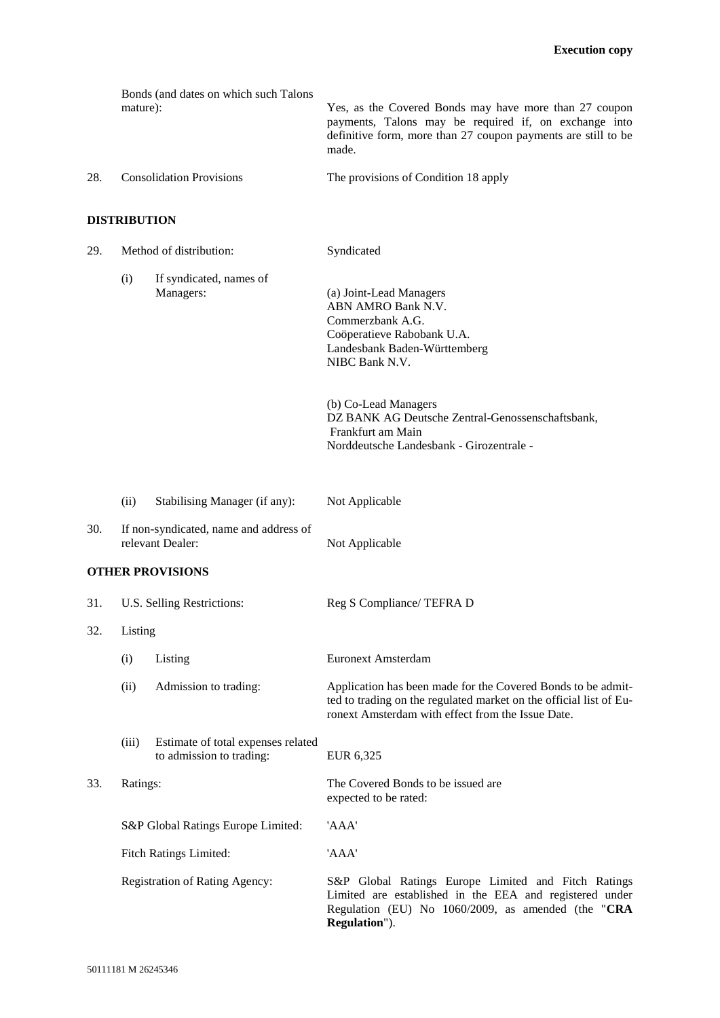|                     | Bonds (and dates on which such Talons<br>mature): | Yes, as the Covered Bonds may have more than 27 coupon<br>payments, Talons may be required if, on exchange into<br>definitive form, more than 27 coupon payments are still to be<br>made. |  |  |
|---------------------|---------------------------------------------------|-------------------------------------------------------------------------------------------------------------------------------------------------------------------------------------------|--|--|
| 28.                 | <b>Consolidation Provisions</b>                   | The provisions of Condition 18 apply                                                                                                                                                      |  |  |
| <b>DISTRIBUTION</b> |                                                   |                                                                                                                                                                                           |  |  |

| 29. | Method of distribution:                                    |                                                                | Syndicated                                                                                                                                                                              |
|-----|------------------------------------------------------------|----------------------------------------------------------------|-----------------------------------------------------------------------------------------------------------------------------------------------------------------------------------------|
|     | (i)                                                        | If syndicated, names of<br>Managers:                           | (a) Joint-Lead Managers<br>ABN AMRO Bank N.V.<br>Commerzbank A.G.<br>Coöperatieve Rabobank U.A.<br>Landesbank Baden-Württemberg<br>NIBC Bank N.V.                                       |
|     |                                                            |                                                                | (b) Co-Lead Managers<br>DZ BANK AG Deutsche Zentral-Genossenschaftsbank,<br>Frankfurt am Main<br>Norddeutsche Landesbank - Girozentrale -                                               |
|     | (ii)                                                       | Stabilising Manager (if any):                                  | Not Applicable                                                                                                                                                                          |
| 30. | If non-syndicated, name and address of<br>relevant Dealer: |                                                                | Not Applicable                                                                                                                                                                          |
|     |                                                            | <b>OTHER PROVISIONS</b>                                        |                                                                                                                                                                                         |
| 31. | U.S. Selling Restrictions:                                 |                                                                | Reg S Compliance/ TEFRA D                                                                                                                                                               |
| 32. | Listing                                                    |                                                                |                                                                                                                                                                                         |
|     | (i)                                                        | Listing                                                        | <b>Euronext Amsterdam</b>                                                                                                                                                               |
|     | (ii)                                                       | Admission to trading:                                          | Application has been made for the Covered Bonds to be admit-<br>ted to trading on the regulated market on the official list of Eu-<br>ronext Amsterdam with effect from the Issue Date. |
|     | (iii)                                                      | Estimate of total expenses related<br>to admission to trading: | EUR 6,325                                                                                                                                                                               |
| 33. | Ratings:                                                   |                                                                | The Covered Bonds to be issued are<br>expected to be rated:                                                                                                                             |
|     | S&P Global Ratings Europe Limited:                         |                                                                | 'AAA'                                                                                                                                                                                   |
|     | <b>Fitch Ratings Limited:</b>                              |                                                                | 'AAA'                                                                                                                                                                                   |
|     | Registration of Rating Agency:                             |                                                                | S&P Global Ratings Europe Limited and Fitch Ratings<br>Limited are established in the EEA and registered under<br>Regulation (EU) No 1060/2009, as amended (the "CRA<br>Regulation").   |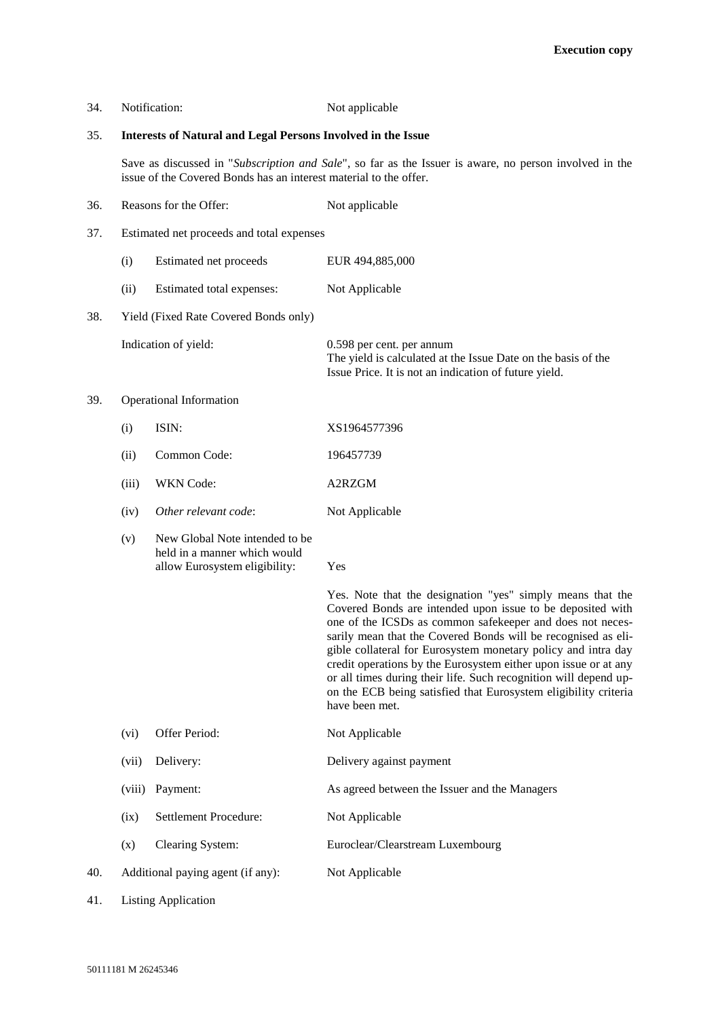| 34.                                          |                                                                                                                                                                             | Notification:                                                                                   | Not applicable                                                                                                                                                                                                                                                                                                                                                                                                                                                                                                                                      |
|----------------------------------------------|-----------------------------------------------------------------------------------------------------------------------------------------------------------------------------|-------------------------------------------------------------------------------------------------|-----------------------------------------------------------------------------------------------------------------------------------------------------------------------------------------------------------------------------------------------------------------------------------------------------------------------------------------------------------------------------------------------------------------------------------------------------------------------------------------------------------------------------------------------------|
| 35.                                          | <b>Interests of Natural and Legal Persons Involved in the Issue</b>                                                                                                         |                                                                                                 |                                                                                                                                                                                                                                                                                                                                                                                                                                                                                                                                                     |
|                                              | Save as discussed in "Subscription and Sale", so far as the Issuer is aware, no person involved in the<br>issue of the Covered Bonds has an interest material to the offer. |                                                                                                 |                                                                                                                                                                                                                                                                                                                                                                                                                                                                                                                                                     |
| 36.                                          |                                                                                                                                                                             | Reasons for the Offer:                                                                          | Not applicable                                                                                                                                                                                                                                                                                                                                                                                                                                                                                                                                      |
| 37.                                          |                                                                                                                                                                             | Estimated net proceeds and total expenses                                                       |                                                                                                                                                                                                                                                                                                                                                                                                                                                                                                                                                     |
|                                              | (i)                                                                                                                                                                         | Estimated net proceeds                                                                          | EUR 494,885,000                                                                                                                                                                                                                                                                                                                                                                                                                                                                                                                                     |
|                                              | (ii)                                                                                                                                                                        | Estimated total expenses:                                                                       | Not Applicable                                                                                                                                                                                                                                                                                                                                                                                                                                                                                                                                      |
| 38.<br>Yield (Fixed Rate Covered Bonds only) |                                                                                                                                                                             |                                                                                                 |                                                                                                                                                                                                                                                                                                                                                                                                                                                                                                                                                     |
|                                              |                                                                                                                                                                             | Indication of yield:                                                                            | 0.598 per cent. per annum<br>The yield is calculated at the Issue Date on the basis of the<br>Issue Price. It is not an indication of future yield.                                                                                                                                                                                                                                                                                                                                                                                                 |
| 39.                                          | Operational Information                                                                                                                                                     |                                                                                                 |                                                                                                                                                                                                                                                                                                                                                                                                                                                                                                                                                     |
|                                              | (i)                                                                                                                                                                         | ISIN:                                                                                           | XS1964577396                                                                                                                                                                                                                                                                                                                                                                                                                                                                                                                                        |
|                                              | (ii)                                                                                                                                                                        | Common Code:                                                                                    | 196457739                                                                                                                                                                                                                                                                                                                                                                                                                                                                                                                                           |
|                                              | (iii)                                                                                                                                                                       | <b>WKN</b> Code:                                                                                | A2RZGM                                                                                                                                                                                                                                                                                                                                                                                                                                                                                                                                              |
|                                              | (iv)                                                                                                                                                                        | Other relevant code:                                                                            | Not Applicable                                                                                                                                                                                                                                                                                                                                                                                                                                                                                                                                      |
|                                              | (v)                                                                                                                                                                         | New Global Note intended to be<br>held in a manner which would<br>allow Eurosystem eligibility: | Yes                                                                                                                                                                                                                                                                                                                                                                                                                                                                                                                                                 |
|                                              |                                                                                                                                                                             |                                                                                                 | Yes. Note that the designation "yes" simply means that the<br>Covered Bonds are intended upon issue to be deposited with<br>one of the ICSDs as common safekeeper and does not neces-<br>sarily mean that the Covered Bonds will be recognised as eli-<br>gible collateral for Eurosystem monetary policy and intra day<br>credit operations by the Eurosystem either upon issue or at any<br>or all times during their life. Such recognition will depend up-<br>on the ECB being satisfied that Eurosystem eligibility criteria<br>have been met. |
|                                              | (vi)                                                                                                                                                                        | Offer Period:                                                                                   | Not Applicable                                                                                                                                                                                                                                                                                                                                                                                                                                                                                                                                      |
|                                              | (vii)                                                                                                                                                                       | Delivery:                                                                                       | Delivery against payment                                                                                                                                                                                                                                                                                                                                                                                                                                                                                                                            |
|                                              | (viii)                                                                                                                                                                      | Payment:                                                                                        | As agreed between the Issuer and the Managers                                                                                                                                                                                                                                                                                                                                                                                                                                                                                                       |
|                                              | (ix)                                                                                                                                                                        | Settlement Procedure:                                                                           | Not Applicable                                                                                                                                                                                                                                                                                                                                                                                                                                                                                                                                      |
|                                              | (x)                                                                                                                                                                         | Clearing System:                                                                                | Euroclear/Clearstream Luxembourg                                                                                                                                                                                                                                                                                                                                                                                                                                                                                                                    |
| 40.                                          | Additional paying agent (if any):                                                                                                                                           |                                                                                                 | Not Applicable                                                                                                                                                                                                                                                                                                                                                                                                                                                                                                                                      |

41. Listing Application